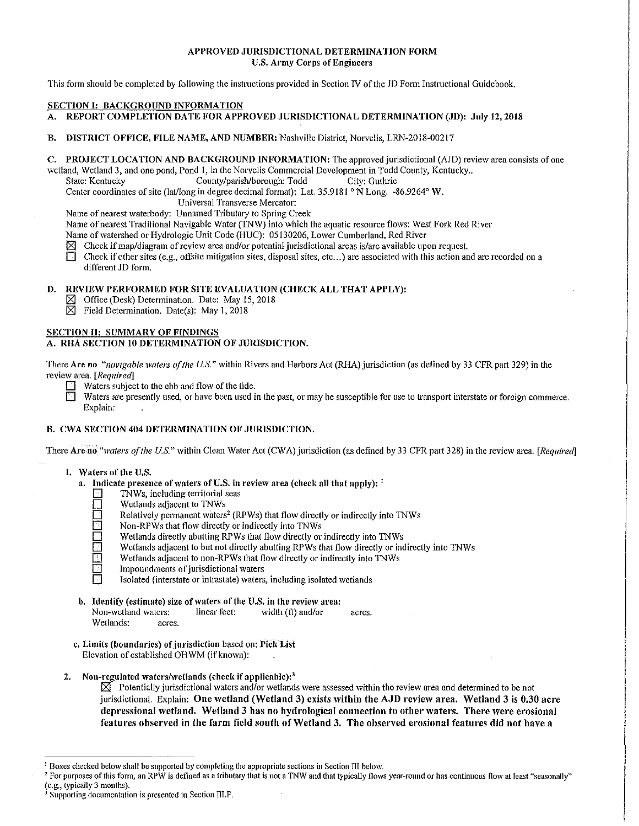# APPROVED JURISDICTIONAL DETERMINATION FORM U.S. Army Corps of Engineers

This form should be completed by following the instructions provided in Section IV of the JD Form Instructional Guidebook.

# SECTION I: BACKGROUND INFORMATION

- A. REPORT COMPLETION DATE FOR APPROVED JURISDICTIONAL DETERMINATION (JD): July 12, 2018
- B. DISTRICT OFFICE, FILE NAME, AND NUMBER: Nashville District, Norvclis, LRN-2018-00217

# C. PROJECT LOCATION AND BACKGROUND INFORMATION: The approved jurisdictional (AID) review area consists of one

wetland, Wetland 3, and one pond, Pond 1, in the Norvelis Commercial Development in Todd County, Kentucky.<br>State: Kentucky County/parish/borough: Todd City: Guthrie

County/parish/borough: Todd Center coordinates of site (lat/long in degree decimal format): Lat.  $35.9181 \text{°N}$  Long. -86.9264° W.

Universal Transverse Mercator:

Name of nearest waterbody: Unnamed Tributary to Spring Creek

Name of nearest Traditional Navigable Water (TNW) into which the aquatic resource flows: West Fork Red River

Name of watershed or Hydrologic Unit Code (HUC): 05130206, Lower Cumberland, Red River

Check if map/diagram of review area and/or potential jurisdictional areas is/are available upon request.<br>
Theories if other sites (e.g., offsite mitigation sites, disposal sites, etc...) are associated with this action an

Check if other sites (e.g., offsite mitigation sites, disposal sites, etc...) are associated with this action and are recorded on a different ID form.

# D. REVIEW PERFORMED FOR SITE EVALUATION (CHECK ALL THAT APPLY):

- IZJ Office (Desk) Determination. Date: May 15, 2018
- $\boxtimes$  Field Determination. Date(s): May 1, 2018

#### SECTION II: SUMMARY OF FINDINGS

# A. RHA SECTION 10 DETERMINATION OF JURISDICTION.

There Are no *"navigable waters of the U.S."* within Rivers and Harbors Act (RHA) jurisdiction (as defined by 33 CFR part 329) in the review area. *[Required]* 

- $\Box$  Waters subject to the ebb and flow of the tide.
	- Waters are presently used, or have been used in the past, or may be susceptible for use to transport interstate or foreign commerce. Explain:

# B. CWA SECTION 404 DETERMINATION OF JURISDICTION.

There Are no "*waters of the U.S."* within Clean Water Act (CWA) jurisdiction (as defined by 33 CFR part 328) in the review area. [Required]

- I. Waters of the U.S.
	- a. Indicate presence of waters of U.S. in review area (check all that apply):  $<sup>1</sup>$ </sup>
		- TNWs, including territorial seas
		- Wetlands adjacent to TNWs
		- Relatively permanent waters<sup>2</sup> (RPWs) that flow directly or indirectly into TNWs
		- Non-RPWs that flow directly or indirectly into TNWs
		- Wetlands directly abutting RPWs that flow directly or indirectly into TNWs
		- Wetlands adjacent to but not directly abutting RPWs that flow directly or indirectly into TNWs
		- Wetlands adjacent to non-RPWs that flow directly or indirectly into TNWs
		- Impoundments of jurisdictional waters
		- Isolated (interstate or intrastate) waters, including isolated wetlands
	- b. Identify (estimate) size of waters of the U.S. in the review area:

| Non-wetland waters: |        | linear feet: | width (ft) and/or | acres. |
|---------------------|--------|--------------|-------------------|--------|
| Wetlands:           | acres. |              |                   |        |

- c. Limits (boundaries) of jurisdiction based on: Pick List Elevation of established OHWM (if known):
- 2. Non-regulated waters/wetlands (check if applicable): $<sup>3</sup>$ </sup>

 $\boxtimes$  Potentially jurisdictional waters and/or wetlands were assessed within the review area and determined to be not jurisdictional. Explain: One wetland (Wetland 3) exists within the AJD review area. Wetland 3 is 0.30 acre depressional wetland. Wetland 3 has no hydrological connection to other waters. There were erosional features observed in the farm field south of Wetland 3. The observed erosional features did not have a

<sup>&</sup>lt;sup>1</sup> Boxes checked below shall be supported by completing the appropriate sections in Section III below.<br><sup>2</sup> For purposes of this form, an RPW is defined as a tributary that is not a TNW and that typically flows year-round

<sup>&</sup>lt;sup>3</sup> Supporting documentation is presented in Section III.F.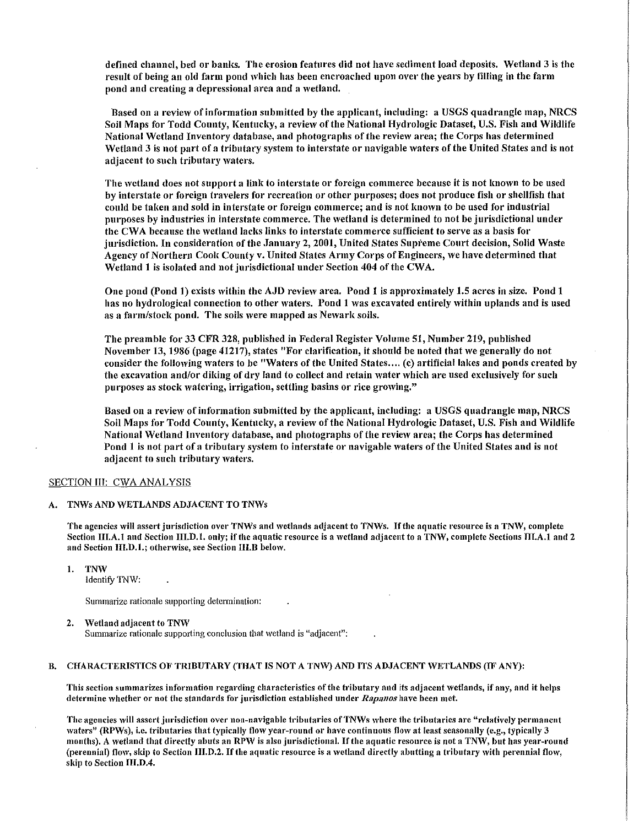defined channel, bed or banks. The erosion features did not have sediment load deposits. Wetland 3 is the result of being an old farm pond which has been encroached upon over the years by filling in the farm pond and creating a depressional area and a \Vetland.

Based on a review of information submitted by the applicant, including: a USGS quadrangle map, NRCS Soil Maps for Todd County, Kentucky, a review of the National Hydrologic Dataset, U.S. Fish and Wildlife National Wetland Inventory database, and photographs of the review area; the Corps has determined Wetland 3 is not part of a tributary system to interstate or navigable waters of the United States and is not adjacent to such tributary waters.

The wetland does not support a link to interstate or foreign commerce because it is not known to be used by interstate or foreign travelers for recreation or other purposes; does not produce fish or shellfish that could be taken and sold in interstate or foreign commerce; and is not known to be used for industrial purposes by industries in interstate commerce. The wetland is determined to not be jurisdictional under the CWA because the wetland lacks links to interstate commerce sufficient to serve as a basis for jurisdiction. In consideration of the January 2, 2001, United States Supreme Court decision, Solid Waste Agency of Northern Cook County v. United States Anny Corps of Engineers, we have determined that Wetland 1 is isolated and not jurisdictional under Section 404 of the CWA.

One pond (Pond 1) exists within the AJD review area. Pond 1 is approximately 1.5 acres in size. Pond 1 has no hydrological connection to other waters. Pond 1 was excavated entirely within uplands and is used as a farm/stock pond. The soils were mapped as Newark soils.

The preamble for 33 CFR 328, published in Federal Register Volume 51, Number 219, published November 13, 1986 (page 41217), states "For clarification, it should be noted that we generally do not consider the following waters to be "Waters of the United States.... (c) artificial lakes and ponds created by the excavation and/or diking of dry land to collect and retain water which are used exclusively for such purposes as stock watering, irrigation, settling basins or rice growing."

Based on a review of information submitted by the applicant, including: a USGS quadrangle map, NRCS Soil Maps for Todd County, Kentucky, a review of the National Hydrologic Dataset, U.S. Fish and Wildlife National Wetland Inventory database, and photographs of the review area; the Corps has determined Pond 1 is not part of a tributary system to interstate or navigable waters of the United States and is not adjacent to such tributary waters.

#### SECTION III: CWA ANALYSIS

#### A. TNWs AND WETLANDS ADJACENT TO TNWs

The agencies will assert jurisdiction over TNWs and wetlands adjacent to TNWs. If the aquatic resource is a TNW, complete Section III.A.1 and Section III.D.1. only; if the aquatic resource is a wetland adjacent to a TNW, complete Sections III.A.1 and 2 and Section III.D.1.; otherwise, see Section III.B below.

I. TNW

Identify TNW:

Summarize rationale supporting determination:

#### 2. Wetland adjacent to TNW

Summarize rationale supporting conclusion that wetland is "adjacent":

## B. CHARACTERISTICS OF TRIBUTARY (THAT IS NOT A TNW) AND ITS ADJACENT WETLANDS (IF ANY):

This section summarizes information regarding characteristics of the tributary and its adjacent wetlands, if any, and it helps determine whether or not the standards for jurisdiction established under *Rapanos* have been met.

The agencies will assert jurisdiction over non-navigable tributaries of TNWs where the tributaries are "relatively permanent waters" (RPWs), i.e. tributaries that typically flow year-round or have continuous flow at least seasonally (e.g., typically 3 months). A wetland that directly abuts an RPW is also jurisdictional. If the aquatic resource is not a TNW, but has year-round (perennial) flow, skip to Section III.D.2. If the aquatic resource is a wetland directly abutting a tributary with perennial flow, skip to Section JII.D.4.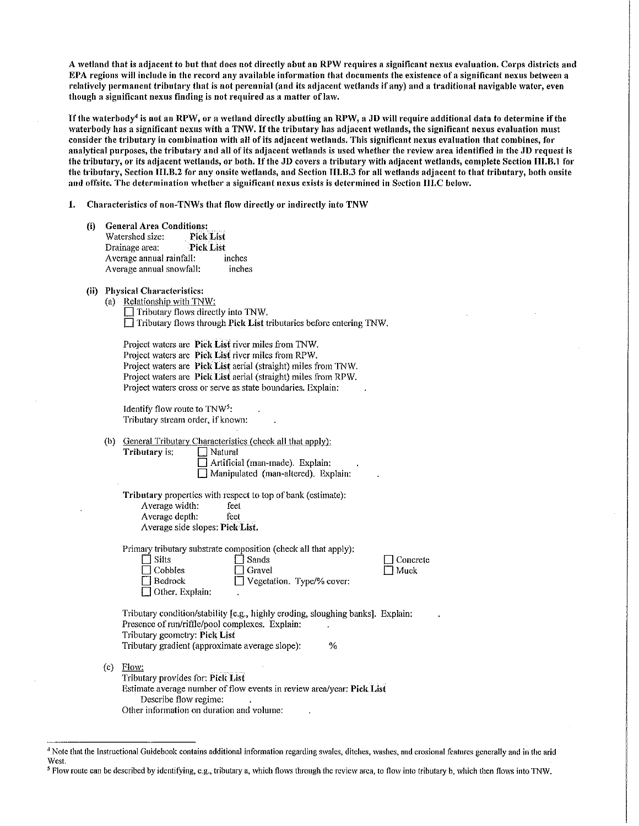A wetland that is adjacent to but that does not directly abut an RPW requires a significant nexus evaluation. Corps districts and EPA regions 'viii include in the record any available information that documents the existence of a significant nexus between a relatively permanent tributary that is not perennial (and its adjacent wetlands if any) and a traditional navigable water, even though a significant nexus finding is not required as a matter of law.

If the waterbody<sup>4</sup> is not an RPW, or a wetland directly abutting an RPW, a JD will require additional data to determine if the waterbody has a significant nexus with a TNW. If the tributary has adjacent wetlands, the significant nexus evaluation must consider the tributary in combination with all of its adjacent wetlands. This significant nexus evaluation that combines, for analytical purposes, the tributary and all of its adjacent wetlands is used whether the review area identified in the JD request is the tributary, or its adjacent wetlands, or both. If the JD covers a tributary with adjacent wetlands, complete Section III.B.1 for the tributary, Section III.B.2 for any onsite wetlands, and Section III.B.3 for all wetlands adjacent to that tributary, both onsite and offsite. The determination whether a significant nexus exists is determined in Section III.C below.

1. Characteristics of non-TNWs that flow directly or indirectly into TNW

(i) General Area Conditions:<br>Watershed size: Pick List Watershed size: Drainage area: Pick List Average annual rainfall: inches Average annual snowfall: inches

# (ii) Physical Characteristics:<br>(a) Relationship with TN

| (a) Relationship with TNW:                                                |
|---------------------------------------------------------------------------|
| $\Box$ Tributary flows directly into TNW.                                 |
| $\Box$ Tributary flows through Pick List tributaries before entering TNW. |

| Project waters are Pick List river miles from TNW.             |
|----------------------------------------------------------------|
| Project waters are <b>Pick List</b> river miles from RPW.      |
| Project waters are Pick List aerial (straight) miles from TNW. |
| Project waters are Pick List aerial (straight) miles from RPW. |
| Project waters cross or serve as state boundaries. Explain:    |

Identify flow route to  $\text{TNW}^5$ : Tributary stream order, if known:

(b) General Tributary Characteristics (check all that apply):

**Tributary is:**  $\Box$  Natural

□ Artificial (man-made). Explain: D Manipulated (man-altered). Explain:

Tributary properties with respect to top of bank (estimate): Average width: feet Average depth: feet Average side slopes: Pick List.

Primary tributary substrate composition (check all that apply):

| $\Box$ Silts           | $\Box$ Sands              |  |
|------------------------|---------------------------|--|
| $\Box$ Cobbles         | $\Box$ Gravel             |  |
| $\Box$ Bedrock         | Vegetation. Type/% cover: |  |
| $\Box$ Other, Explain: |                           |  |

 $\Box$  Concrete  $\Box$  Muck

Tributary condition/stability [e.g., highly eroding, sloughing banks]. Explain: Presence of run/riffle/pool complexes. Explain: Tributary geometry: Pick List Tributary gradient (approximate average slope):  $\frac{1}{6}$ 

(c) Flow: Tributary provides for: Pick List Estimate average number of flow events in review area/year: Pick List

Describe flow regime: Other information on duration and volume:

<sup>4</sup> Note that the Instructional Guidebook contains additional information regarding swales, ditches, washes, and erosional features generally and in the arid West.

<sup>&</sup>lt;sup>5</sup> Flow route can be described by identifying, e.g., tributary a, which flows through the review area, to flow into tributary b, which then flows into TNW.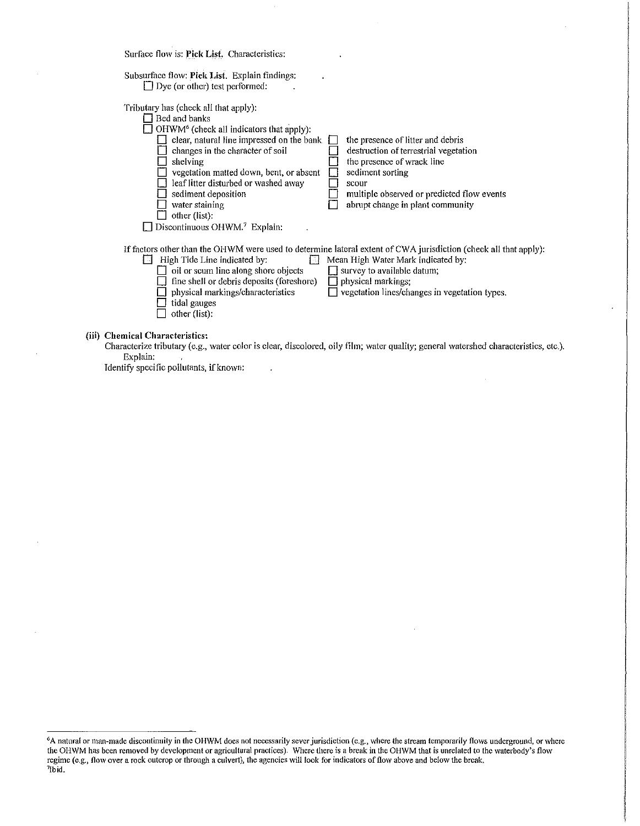Surface flow is: Pick List. Characteristics:

| Subsurface flow: Pick List. Explain findings:<br>$\Box$ Dye (or other) test performed:                                                                                                                                                                                                                                                                                                                         |                                                                                                                                                                                                                                                             |
|----------------------------------------------------------------------------------------------------------------------------------------------------------------------------------------------------------------------------------------------------------------------------------------------------------------------------------------------------------------------------------------------------------------|-------------------------------------------------------------------------------------------------------------------------------------------------------------------------------------------------------------------------------------------------------------|
| Tributary has (check all that apply):<br>□ Bed and banks<br>$\Box$ OHWM <sup>6</sup> (check all indicators that apply):<br>clear, natural line impressed on the bank<br>changes in the character of soil<br>shelving<br>vegetation matted down, bent, or absent<br>leaf litter disturbed or washed away<br>sediment deposition<br>water staining<br>other (list):<br>Discontinuous OHWM. <sup>7</sup> Explain: | the presence of litter and debris<br>destruction of terrestrial vegetation<br>the presence of wrack line<br>sediment sorting<br>scour<br>multiple observed or predicted flow events<br>abrupt change in plant community                                     |
| High Tide Line indicated by:<br>ោ<br>oil or scum line along shore objects<br>fine shell or debris deposits (foreshore)<br>physical markings/characteristics<br>tidal gauges<br>other (list):                                                                                                                                                                                                                   | If factors other than the OHWM were used to determine lateral extent of CWA jurisdiction (check all that apply):<br>Mean High Water Mark indicated by:<br>survey to available datum;<br>physical markings;<br>vegetation lines/changes in vegetation types. |
| (iii) Chemical Characteristics:<br>$\mathbf{r}$ , and $\mathbf{r}$ , and $\mathbf{r}$ , and $\mathbf{r}$ , and $\mathbf{r}$ , and $\mathbf{r}$                                                                                                                                                                                                                                                                 | .                                                                                                                                                                                                                                                           |

Characterize tributary (e.g., water color is clear, discolored, oily film; water quality; general watershed characteristics, etc.). Explain:

 $\ddot{\phantom{a}}$ 

Identify specific pollutants, if known:

<sup>&</sup>lt;sup>6</sup>A natural or man-made discontinuity in the OHWM does not necessarily sever jurisdiction (e.g., where the stream temporarily flows underground, or where the OHWM has been removed by development or agricullural practices). Where there is a break in the OHWM that is unrelated to the waterbody's flow regime (e.g., flow over a rock outcrop or through a culvert), the agencies will look for indicators of flow above and below the break. 1 Ibid.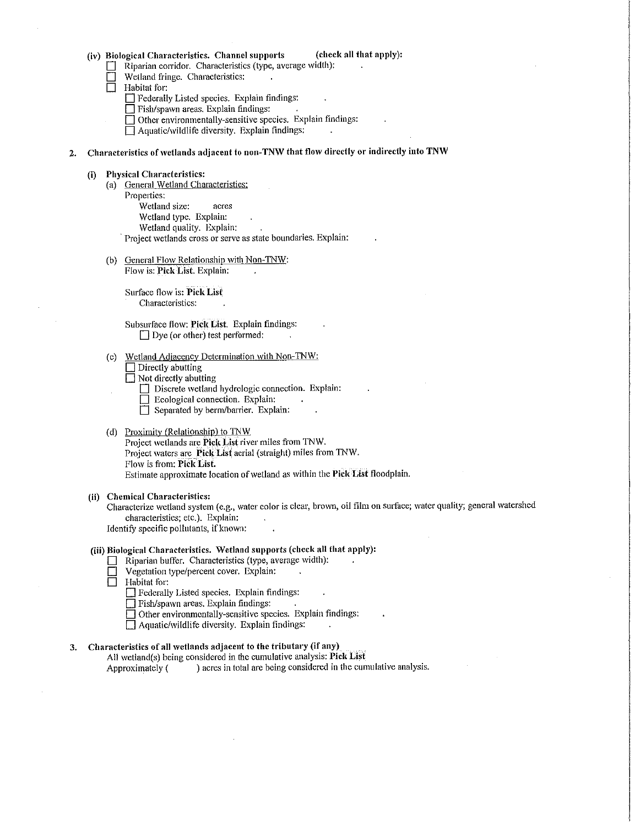|  |  | (iv) Biological Characteristics. Channel supports |  |  |
|--|--|---------------------------------------------------|--|--|
|--|--|---------------------------------------------------|--|--|

- Riparian corridor. Characteristics (type, average width):
- Wetland fringe. Characteristics:
- Habitat for:

D Federally Listed species. Explain findings:

- $\Box$  Fish/spawn areas. Explain findings:
- $\Box$  Other environmentally-sensitive species. Explain findings:
- $\Box$  Aquatic/wildlife diversity. Explain findings:
- 2. Characteristics of wetlands adjacent to non-TNW that flow directly or indirectly into TNW

#### (i) Physical Characteristics:

- (a) General Wetland Characteristics: Properties: Wetland size: acres Wetland type. Explain: Wetland quality. Explain: Project wetlands cross or serve as state boundaries. Explain:
- (b) General Flow Relationship with Non-TNW: Flow is: Pick List. Explain:

Surface flow is: Pick List Characteristics:

Subsurface flow: Pick List. Explain findings:  $\Box$  Dye (or other) test performed:

(c) Wetland Adjacency Determination with Non-TNW:  $\Box$  Directly abutting

 $\Box$  Not directly abutting

- $\Box$  Discrete wetland hydrologic connection. Explain:
- Ecological connection. Explain:
- $\Box$  Separated by berm/barrier. Explain:

#### (d) Proximitv (Relationship) to TNW

Project wetlands are Pick List river miles from TNW. Project waters are Pick List aerial (straight) miles from TNW. Flow is from: Pick List. Estimate approximate location of wetland as within the Pick List floodplain.

## (ii) Chemical Characteristics:

Characterize wetland system (e.g., water color is clear, brown, oil film on surface; water quality; general watershed characteristics; etc.). Explain: Identify specific pollutants, if known:

#### (iii) Biological Characteristics. Wetland supports (check all that apply):

- Riparian buffer. Characteristics (type, average width):<br>
Use vegetation type/percent cover. Explain:
- $\Box$  Vegetation type/percent cover. Explain:<br>
Habitat for:
- Habitat for:
	- D Federally Listed species. Explain findings:
	- $\Box$  Fish/spawn areas. Explain findings:

D Other environmentally-sensitive species. Explain findings:

 $\Box$  Aquatic/wildlife diversity. Explain findings:

# 3. Characteristics of all wetlands adjacent to the tributary (if any)

All wetland(s) being considered in the cumulative analysis: Pick List Approximately ( ) acres in total are being considered in the cumulative analysis.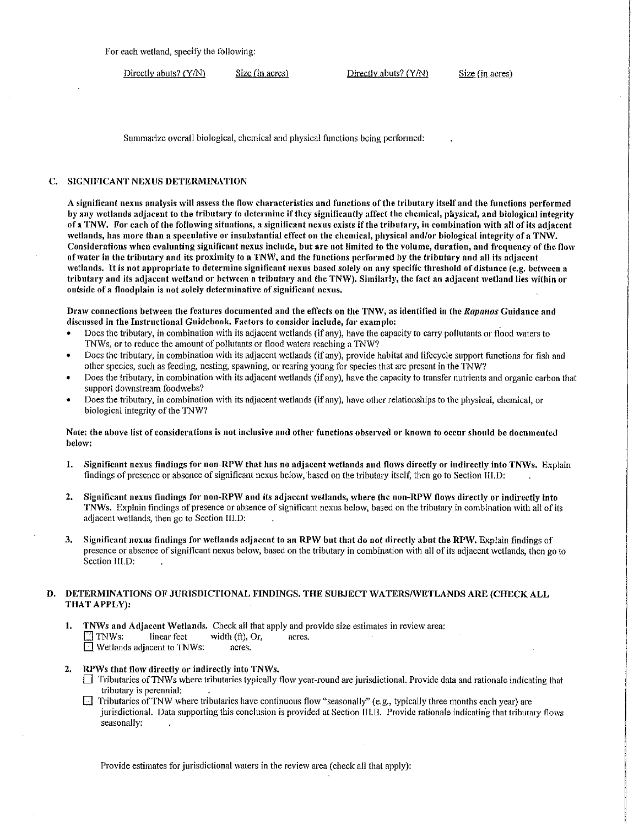For each wetland, specify the following:

Directly abuts? (Y/N) Size (in acres) Directly abuts? (Y/N) Size (in acres)

Summarize overall biological, chemical and physical functions being performed:

#### C. SIGNIFICANT NEXUS DETERMINATION

A significant nexus analysis will assess the flow characteristics and functions of the tributary itself and the functions performed by any wetlands adjacent to the tributary to determine if they significantly affect the chemical, physical, and biological integrity of a TNW. For each of the following situations, a significant nexus exists if the tributary, in combination with all of its adjacent wetlands, has more than a speculative or insubstantial effect on the chemical, physical and/or biological integrity of a TNW. Considerations when evaluating significant nexus include, but are not limited to the volume, duration, and frequency of the flow of water in the tributary and its proximity to a TNW, and the functions performed by the tributary and all its adjacent wetlands. It is not appropriate to determine significant nexus based solely on any specific threshold of distance (e.g. between a tributary and its adjacent wetland or between a tributary and the TNW). Similarly, the fact an adjacent wetland lies within or outside of a floodplain is not solely determinative of significant nexus.

Draw connections between the features documented and the effects on the TNW, as identified in the *Rapanos* Guidance and discussed in the Instructional Guidebook. Factors to consider include, for example:

- Does the tributary, in combination with its adjacent wetlands (if any), have the capacity to carry pollutants or flood waters to TNWs, or to reduce the amount of pollutants or flood waters reaching a TNW?
- Does the tributary, in combination with its adjacent wetlands (if any), provide habitat and lifecycle support functions for fish and other species, such as feeding, nesting, spawning, or rearing young for species that are present in the TNW?
- Does the tributary, in combination with its adjacent wetlands (if any), have the capacity to transfer nutrients and organic carbon that support downstream foodwebs?
- Does the tributary, in combination \Vith its adjacent wetlands (if any), have other relationships to the physical, chemical, or biological integrity of the TNW?

#### Note: the above list of considerations is not inclusive and other functions observed or known to occur should be documented below:

- 1. Significant nexus findings for non-RPW that has no adjacent wetlands and flows directly or indirectly into TNWs. Explain findings of presence or absence of significant nexus belo\v,'based on the tributary itself, then go to Section III.D:
- 2. Significant nexus findings for non-RPW and its adjacent wetlands, where the non-RPW flows directly or indirectly into TNWs. Explain findings of presence or absence of significant nexus below, based on the tributary in combination with all of its adjacent wetlands, then go to Section III.D:
- 3. Significant nexus findings for wetlands adjacent to an RPW but that do not directly abut the RPW. Explain findings of presence or absence of significant nexus below, based on the tributary in combination with all of its adjacent wetlands, then go to Section III.D:

## D. DETERMINATIONS OF JURISDICTIONAL FINDINGS. THE SUBJECT WATERS/WETLANDS ARE (CHECK ALL THAT APPLY):

- 1. TNWs and Adjacent Wetlands. Check all that apply and provide size estimates in review area: The ST TNWs: linear feet width (ft), Or, acres.<br>Netlands adiacent to TNWs: acres.  $\Box$  Wetlands adjacent to TNWs:
- 2. RPWs that flow directly or indirectly into TNWs.
	- $\Box$  Tributaries of TNWs where tributaries typically flow year-round are jurisdictional. Provide data and rationale indicating that tributary is perennial:
	- $\Box$  Tributaries of TNW where tributaries have continuous flow "seasonally" (e.g., typically three months each year) are jurisdictional. Data supporting this conclusion is provided at Section III.B. Provide rationale indicating that tributary flows seasonally:

Provide estimates for jurisdictional waters in the review area (check all that apply):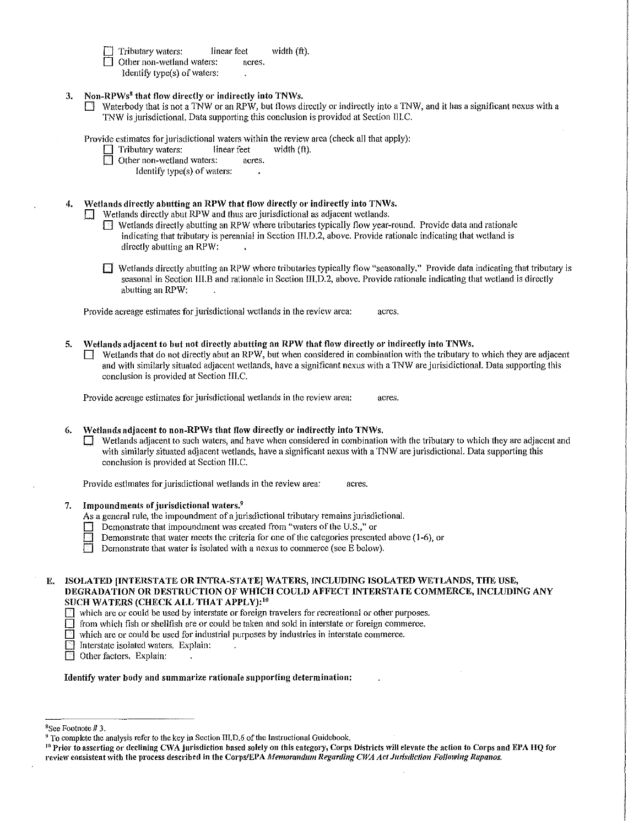Tributary waters: linear feet width  $(ft)$ .

 $\Box$  Other non-wetland waters: acres, Identify type(s) of waters:

- 3. Non-RPWs<sup>8</sup> that flow directly or indirectly into TNWs.
	- $\Box$  Waterbody that is not a TNW or an RPW, but flows directly or indirectly into a TNW, and it has a significant nexus with a 1NW is jurisdictional. Data supporting this conclusion is provided at Section III.C.

Provide estimates for jurisdictional waters within the review area (check all that apply):<br>  $\Box$  Tributary waters: linear feet width (ft).

 $\Box$  Tributary waters: linear feet width (ft).

Other non-wetland waters: acres.

Identify type(s) of waters:

# 4. Wetlands directly abutting an RPW that flow directly or indirectly into TNWs.

 $\Box$  Wetlands directly abut RPW and thus are jurisdictional as adjacent wetlands.

- $\Box$  Wetlands directly abutting an RPW where tributaries typically flow year-round. Provide data and rationale indicating that tributary is perennial in Section III.D.2, above. Provide rationale indicating that wetland is directly abutting an RPW:
- $\Box$  Wetlands directly abutting an RPW where tributaries typically flow "seasonally." Provide data indicating that tributary is seasonal in Section III.B and rationale in Section III.D.2, above. Provide rationale indicating that wetland is directly abutting an RPW:

Provide acreage estimates for jurisdictional wetlands in the review area: acres.

5. Wetlands adjacent to but not directly abutting an RPW that flow directly or indirectly into TNWs.

 $\Box$  Wetlands that do not directly abut an RPW, but when considered in combination with the tributary to which they are adjacent and with similarly situated adjacent wetlands, have a significant nexus with a TNW are jurisidictional. Data supporting this conclusion is provided at Section III.C.

Provide acreage estimates for jurisdictional wetlands in the review area: acres,

6. Wetlands adjacent to non-RPWs that flow directly or indirectly into TNWs.

 $\Box$  Wetlands adjacent to such waters, and have when considered in combination with the tributary to which they are adjacent and with similarly situated adjacent wetlands, have a significant nexus with a TNW are jurisdictional. Data supporting this conclusion is provided at Section III.C.

Provide estimates for jurisdictional wetlands in the review area: acres.

7. Impoundments of jurisdictional waters.<sup>9</sup>

As a general rule, the impoundment of a jurisdictional tributary remains jurisdictional.

- $\Box$  Demonstrate that impoundment was created from "watcrs of the U.S.," or
- Demonstrate that water meets the criteria for one of the categories presented above (1-6), or
- Demonstrate that water is isolated with a nexus to commerce (see E below).

 $\Box$  from which fish or shellfish are or could be taken and sold in interstate or foreign commerce.

 $\Box$  which are or could be used for industrial purposes by industries in interstate commerce.

- Interstate isolated waters. Explain:
- **D** Other factors. Explain:

Identify water body and summarize rationale supporting determination:

E. ISOLATED [INTERSTATE OR INTRA-STATE] WATERS, INCLUDING ISOLATED WETLANDS, THE USE, DEGRADATION OR DESTRUCTION OF WHICH COULD AFFECT INTERSTATE COMMERCE, INCLUDING ANY SUCH WATERS (CHECK ALL THAT APPLY):<sup>10</sup>

 $\Box$  which are or could be used by interstate or foreign travelers for recreational or other purposes.

<sup>&</sup>lt;sup>8</sup>See Footnote # 3.<br><sup>9</sup> To complete the analysis refer to the key in Section III.D.6 of the Instructional Guidebook.<br><sup>10</sup> Prior to asserting or declining CWA jurisdiction based solely on this eategory, Corps Districts wil review consistent with the process described in the Corps/EPA Memorandum Regarding CWA Act Jurisdiction Following Rapanos.